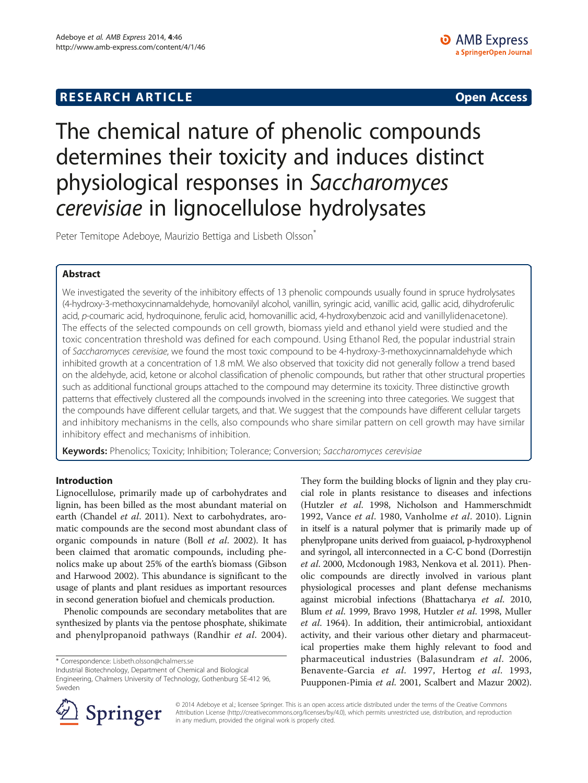## **RESEARCH ARTICLE Example 2014 12:30 The SEAR CHA RTICLE**

# The chemical nature of phenolic compounds determines their toxicity and induces distinct physiological responses in Saccharomyces cerevisiae in lignocellulose hydrolysates

Peter Temitope Adeboye, Maurizio Bettiga and Lisbeth Olsson<sup>®</sup>

## Abstract

We investigated the severity of the inhibitory effects of 13 phenolic compounds usually found in spruce hydrolysates (4-hydroxy-3-methoxycinnamaldehyde, homovanilyl alcohol, vanillin, syringic acid, vanillic acid, gallic acid, dihydroferulic acid, p-coumaric acid, hydroquinone, ferulic acid, homovanillic acid, 4-hydroxybenzoic acid and vanillylidenacetone). The effects of the selected compounds on cell growth, biomass yield and ethanol yield were studied and the toxic concentration threshold was defined for each compound. Using Ethanol Red, the popular industrial strain of Saccharomyces cerevisiae, we found the most toxic compound to be 4-hydroxy-3-methoxycinnamaldehyde which inhibited growth at a concentration of 1.8 mM. We also observed that toxicity did not generally follow a trend based on the aldehyde, acid, ketone or alcohol classification of phenolic compounds, but rather that other structural properties such as additional functional groups attached to the compound may determine its toxicity. Three distinctive growth patterns that effectively clustered all the compounds involved in the screening into three categories. We suggest that the compounds have different cellular targets, and that. We suggest that the compounds have different cellular targets and inhibitory mechanisms in the cells, also compounds who share similar pattern on cell growth may have similar inhibitory effect and mechanisms of inhibition.

Keywords: Phenolics; Toxicity; Inhibition; Tolerance; Conversion; Saccharomyces cerevisiae

## Introduction

Lignocellulose, primarily made up of carbohydrates and lignin, has been billed as the most abundant material on earth (Chandel et al. [2011](#page-8-0)). Next to carbohydrates, aromatic compounds are the second most abundant class of organic compounds in nature (Boll et al. [2002](#page-8-0)). It has been claimed that aromatic compounds, including phenolics make up about 25% of the earth's biomass (Gibson and Harwood [2002](#page-9-0)). This abundance is significant to the usage of plants and plant residues as important resources in second generation biofuel and chemicals production.

Phenolic compounds are secondary metabolites that are synthesized by plants via the pentose phosphate, shikimate and phenylpropanoid pathways (Randhir et al. [2004](#page-9-0)).

Industrial Biotechnology, Department of Chemical and Biological Engineering, Chalmers University of Technology, Gothenburg SE-412 96, Sweden

They form the building blocks of lignin and they play crucial role in plants resistance to diseases and infections (Hutzler et al. [1998,](#page-9-0) Nicholson and Hammerschmidt [1992](#page-9-0), Vance et al. [1980](#page-9-0), Vanholme et al. [2010](#page-9-0)). Lignin in itself is a natural polymer that is primarily made up of phenylpropane units derived from guaiacol, p-hydroxyphenol and syringol, all interconnected in a C-C bond (Dorrestijn et al. [2000,](#page-9-0) Mcdonough [1983](#page-9-0), Nenkova et al. [2011\)](#page-9-0). Phenolic compounds are directly involved in various plant physiological processes and plant defense mechanisms against microbial infections (Bhattacharya et al. [2010](#page-8-0), Blum et al. [1999,](#page-8-0) Bravo [1998,](#page-8-0) Hutzler et al. [1998](#page-9-0), Muller et al. [1964\)](#page-9-0). In addition, their antimicrobial, antioxidant activity, and their various other dietary and pharmaceutical properties make them highly relevant to food and pharmaceutical industries (Balasundram et al. [2006](#page-8-0), Benavente-Garcia et al. [1997,](#page-8-0) Hertog et al. [1993](#page-9-0), Puupponen-Pimia et al. [2001](#page-9-0), Scalbert and Mazur [2002](#page-9-0)).



© 2014 Adeboye et al.; licensee Springer. This is an open access article distributed under the terms of the Creative Commons Attribution License [\(http://creativecommons.org/licenses/by/4.0\)](http://creativecommons.org/licenses/by/4.0), which permits unrestricted use, distribution, and reproduction in any medium, provided the original work is properly cited.

<sup>\*</sup> Correspondence: [Lisbeth.olsson@chalmers.se](mailto:Lisbeth.olsson@chalmers.se)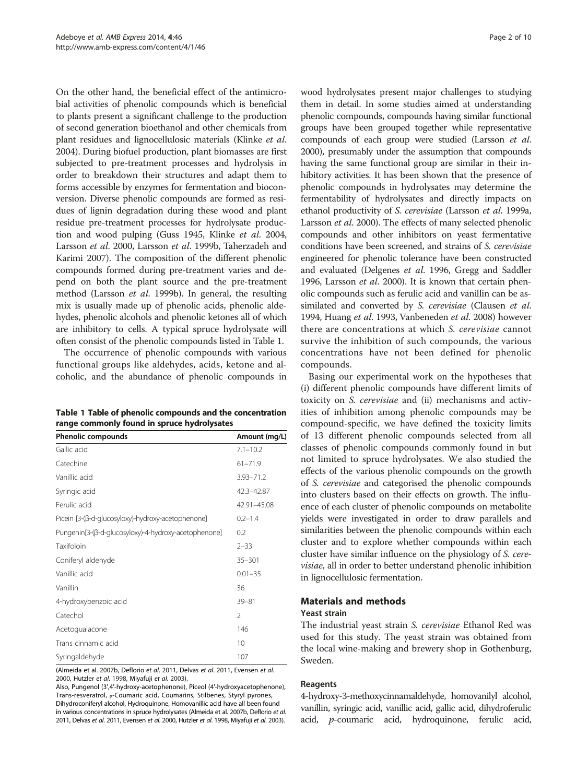On the other hand, the beneficial effect of the antimicrobial activities of phenolic compounds which is beneficial to plants present a significant challenge to the production of second generation bioethanol and other chemicals from plant residues and lignocellulosic materials (Klinke et al. [2004\)](#page-9-0). During biofuel production, plant biomasses are first subjected to pre-treatment processes and hydrolysis in order to breakdown their structures and adapt them to forms accessible by enzymes for fermentation and bioconversion. Diverse phenolic compounds are formed as residues of lignin degradation during these wood and plant residue pre-treatment processes for hydrolysate production and wood pulping (Guss [1945](#page-9-0), Klinke et al. [2004](#page-9-0), Larsson et al. [2000,](#page-9-0) Larsson et al. [1999b](#page-9-0), Taherzadeh and Karimi [2007](#page-9-0)). The composition of the different phenolic compounds formed during pre-treatment varies and depend on both the plant source and the pre-treatment method (Larsson et al. [1999b\)](#page-9-0). In general, the resulting mix is usually made up of phenolic acids, phenolic aldehydes, phenolic alcohols and phenolic ketones all of which are inhibitory to cells. A typical spruce hydrolysate will often consist of the phenolic compounds listed in Table 1.

The occurrence of phenolic compounds with various functional groups like aldehydes, acids, ketone and alcoholic, and the abundance of phenolic compounds in

| Table 1 Table of phenolic compounds and the concentration |
|-----------------------------------------------------------|
| range commonly found in spruce hydrolysates               |

| <b>Phenolic compounds</b>                            | Amount (mg/L)  |
|------------------------------------------------------|----------------|
| Gallic acid                                          | $7.1 - 10.2$   |
| Catechine                                            | $61 - 71.9$    |
| Vanillic acid                                        | $3.93 - 71.2$  |
| Syringic acid                                        | 42.3-42.87     |
| Ferulic acid                                         | 42.91-45.08    |
| Picein [3-(β-d-glucosyloxy)-hydroxy-acetophenone]    | $0.2 - 1.4$    |
| Pungenin[3-(β-d-glucosyloxy)-4-hydroxy-acetophenone] | 0.2            |
| Taxifoloin                                           | $2 - 33$       |
| Coniferyl aldehyde                                   | $35 - 301$     |
| Vanillic acid                                        | $0.01 - 35$    |
| Vanillin                                             | 36             |
| 4-hydroxybenzoic acid                                | $39 - 81$      |
| Catechol                                             | $\mathfrak{D}$ |
| Acetoguaiacone                                       | 146            |
| Trans cinnamic acid                                  | 10             |
| Syringaldehyde                                       | 107            |

(Almeida et al. [2007b](#page-8-0), Deflorio et al. [2011,](#page-8-0) Delvas et al. [2011,](#page-9-0) Evensen et al. [2000](#page-9-0), Hutzler et al. [1998,](#page-9-0) Miyafuji et al. [2003\)](#page-9-0).

Also, Pungenol (3′,4′-hydroxy-acetophenone), Piceol (4′-hydroxyacetophenone), Trans-resveratrol, p-Coumaric acid, Coumarins, Stilbenes, Styryl pyrones, Dihydroconiferyl alcohol, Hydroquinone, Homovanillic acid have all been found in various concentrations in spruce hydrolysates (Almeida et al. [2007b](#page-8-0), Deflorio et al. [2011](#page-8-0), Delvas et al. [2011,](#page-9-0) Evensen et al. [2000,](#page-9-0) Hutzler et al. [1998,](#page-9-0) Miyafuji et al. [2003\)](#page-9-0).

wood hydrolysates present major challenges to studying them in detail. In some studies aimed at understanding phenolic compounds, compounds having similar functional groups have been grouped together while representative compounds of each group were studied (Larsson et al. [2000\)](#page-9-0), presumably under the assumption that compounds having the same functional group are similar in their inhibitory activities. It has been shown that the presence of phenolic compounds in hydrolysates may determine the fermentability of hydrolysates and directly impacts on ethanol productivity of S. cerevisiae (Larsson et al. [1999a](#page-9-0), Larsson et al. [2000](#page-9-0)). The effects of many selected phenolic compounds and other inhibitors on yeast fermentative conditions have been screened, and strains of S. cerevisiae engineered for phenolic tolerance have been constructed and evaluated (Delgenes et al. [1996](#page-9-0), Gregg and Saddler [1996](#page-9-0), Larsson et al. [2000\)](#page-9-0). It is known that certain phenolic compounds such as ferulic acid and vanillin can be assimilated and converted by S. cerevisiae (Clausen et al. [1994,](#page-8-0) Huang et al. [1993](#page-9-0), Vanbeneden et al. [2008\)](#page-9-0) however there are concentrations at which S. cerevisiae cannot survive the inhibition of such compounds, the various concentrations have not been defined for phenolic compounds.

Basing our experimental work on the hypotheses that (i) different phenolic compounds have different limits of toxicity on S. cerevisiae and (ii) mechanisms and activities of inhibition among phenolic compounds may be compound-specific, we have defined the toxicity limits of 13 different phenolic compounds selected from all classes of phenolic compounds commonly found in but not limited to spruce hydrolysates. We also studied the effects of the various phenolic compounds on the growth of S. cerevisiae and categorised the phenolic compounds into clusters based on their effects on growth. The influence of each cluster of phenolic compounds on metabolite yields were investigated in order to draw parallels and similarities between the phenolic compounds within each cluster and to explore whether compounds within each cluster have similar influence on the physiology of S. cerevisiae, all in order to better understand phenolic inhibition in lignocellulosic fermentation.

## Materials and methods

#### Yeast strain

The industrial yeast strain S. cerevisiae Ethanol Red was used for this study. The yeast strain was obtained from the local wine-making and brewery shop in Gothenburg, Sweden.

## Reagents

4-hydroxy-3-methoxycinnamaldehyde, homovanilyl alcohol, vanillin, syringic acid, vanillic acid, gallic acid, dihydroferulic acid, p-coumaric acid, hydroquinone, ferulic acid,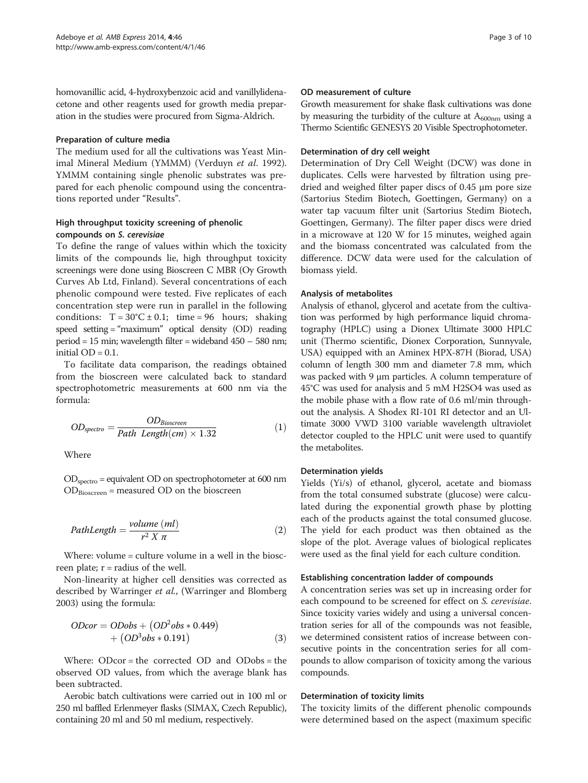homovanillic acid, 4-hydroxybenzoic acid and vanillylidenacetone and other reagents used for growth media preparation in the studies were procured from Sigma-Aldrich.

## Preparation of culture media

The medium used for all the cultivations was Yeast Minimal Mineral Medium (YMMM) (Verduyn et al. [1992](#page-9-0)). YMMM containing single phenolic substrates was prepared for each phenolic compound using the concentrations reported under "[Results](#page-3-0)".

## High throughput toxicity screening of phenolic compounds on S. cerevisiae

To define the range of values within which the toxicity limits of the compounds lie, high throughput toxicity screenings were done using Bioscreen C MBR (Oy Growth Curves Ab Ltd, Finland). Several concentrations of each phenolic compound were tested. Five replicates of each concentration step were run in parallel in the following conditions:  $T = 30^{\circ}C \pm 0.1$ ; time = 96 hours; shaking speed setting = "maximum" optical density (OD) reading period = 15 min; wavelength filter = wideband 450 – 580 nm; initial  $OD = 0.1$ .

To facilitate data comparison, the readings obtained from the bioscreen were calculated back to standard spectrophotometric measurements at 600 nm via the formula:

$$
OD_{spectro} = \frac{OD_{Bioscreen}}{Path Length(cm) \times 1.32}
$$
 (1)

Where

 $OD_{\text{spectro}}$  = equivalent OD on spectrophotometer at 600 nm  $OD<sub>Bioscreen</sub>$  = measured OD on the bioscreen

PathLength = 
$$
\frac{volume (ml)}{r^2 X \pi}
$$
 (2)

Where: volume = culture volume in a well in the bioscreen plate;  $r =$  radius of the well.

Non-linearity at higher cell densities was corrected as described by Warringer et al., (Warringer and Blomberg [2003](#page-9-0)) using the formula:

$$
ODcor = ODobs + (OD2obs * 0.449)
$$
  
+ (OD<sup>3</sup>obs \* 0.191) (3)

Where: ODcor = the corrected OD and ODobs = the observed OD values, from which the average blank has been subtracted.

Aerobic batch cultivations were carried out in 100 ml or 250 ml baffled Erlenmeyer flasks (SIMAX, Czech Republic), containing 20 ml and 50 ml medium, respectively.

#### OD measurement of culture

Growth measurement for shake flask cultivations was done by measuring the turbidity of the culture at  $A_{600nm}$  using a Thermo Scientific GENESYS 20 Visible Spectrophotometer.

#### Determination of dry cell weight

Determination of Dry Cell Weight (DCW) was done in duplicates. Cells were harvested by filtration using predried and weighed filter paper discs of 0.45 μm pore size (Sartorius Stedim Biotech, Goettingen, Germany) on a water tap vacuum filter unit (Sartorius Stedim Biotech, Goettingen, Germany). The filter paper discs were dried in a microwave at 120 W for 15 minutes, weighed again and the biomass concentrated was calculated from the difference. DCW data were used for the calculation of biomass yield.

#### Analysis of metabolites

Analysis of ethanol, glycerol and acetate from the cultivation was performed by high performance liquid chromatography (HPLC) using a Dionex Ultimate 3000 HPLC unit (Thermo scientific, Dionex Corporation, Sunnyvale, USA) equipped with an Aminex HPX-87H (Biorad, USA) column of length 300 mm and diameter 7.8 mm, which was packed with 9 μm particles. A column temperature of 45°C was used for analysis and 5 mM H2SO4 was used as the mobile phase with a flow rate of 0.6 ml/min throughout the analysis. A Shodex RI-101 RI detector and an Ultimate 3000 VWD 3100 variable wavelength ultraviolet detector coupled to the HPLC unit were used to quantify the metabolites.

#### Determination yields

Yields (Yi/s) of ethanol, glycerol, acetate and biomass from the total consumed substrate (glucose) were calculated during the exponential growth phase by plotting each of the products against the total consumed glucose. The yield for each product was then obtained as the slope of the plot. Average values of biological replicates were used as the final yield for each culture condition.

#### Establishing concentration ladder of compounds

A concentration series was set up in increasing order for each compound to be screened for effect on *S. cerevisiae*. Since toxicity varies widely and using a universal concentration series for all of the compounds was not feasible, we determined consistent ratios of increase between consecutive points in the concentration series for all compounds to allow comparison of toxicity among the various compounds.

#### Determination of toxicity limits

The toxicity limits of the different phenolic compounds were determined based on the aspect (maximum specific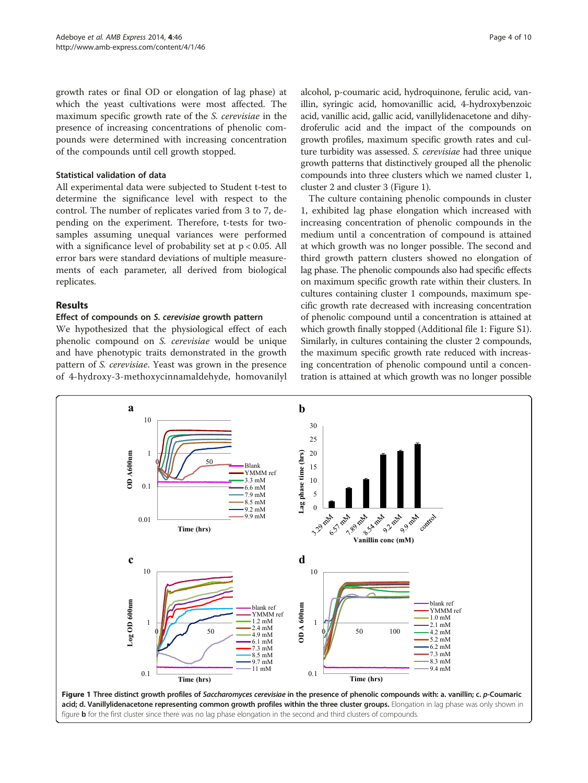<span id="page-3-0"></span>growth rates or final OD or elongation of lag phase) at which the yeast cultivations were most affected. The maximum specific growth rate of the S. cerevisiae in the presence of increasing concentrations of phenolic compounds were determined with increasing concentration of the compounds until cell growth stopped.

## Statistical validation of data

All experimental data were subjected to Student t-test to determine the significance level with respect to the control. The number of replicates varied from 3 to 7, depending on the experiment. Therefore, t-tests for twosamples assuming unequal variances were performed with a significance level of probability set at p < 0.05. All error bars were standard deviations of multiple measurements of each parameter, all derived from biological replicates.

## Results

## Effect of compounds on S. cerevisiae growth pattern

We hypothesized that the physiological effect of each phenolic compound on S. cerevisiae would be unique and have phenotypic traits demonstrated in the growth pattern of S. cerevisiae. Yeast was grown in the presence of 4-hydroxy-3-methoxycinnamaldehyde, homovanilyl

alcohol, p-coumaric acid, hydroquinone, ferulic acid, vanillin, syringic acid, homovanillic acid, 4-hydroxybenzoic acid, vanillic acid, gallic acid, vanillylidenacetone and dihydroferulic acid and the impact of the compounds on growth profiles, maximum specific growth rates and culture turbidity was assessed. S. cerevisiae had three unique growth patterns that distinctively grouped all the phenolic compounds into three clusters which we named cluster 1, cluster 2 and cluster 3 (Figure 1).

The culture containing phenolic compounds in cluster 1, exhibited lag phase elongation which increased with increasing concentration of phenolic compounds in the medium until a concentration of compound is attained at which growth was no longer possible. The second and third growth pattern clusters showed no elongation of lag phase. The phenolic compounds also had specific effects on maximum specific growth rate within their clusters. In cultures containing cluster 1 compounds, maximum specific growth rate decreased with increasing concentration of phenolic compound until a concentration is attained at which growth finally stopped (Additional file [1:](#page-8-0) Figure S1). Similarly, in cultures containing the cluster 2 compounds, the maximum specific growth rate reduced with increasing concentration of phenolic compound until a concentration is attained at which growth was no longer possible

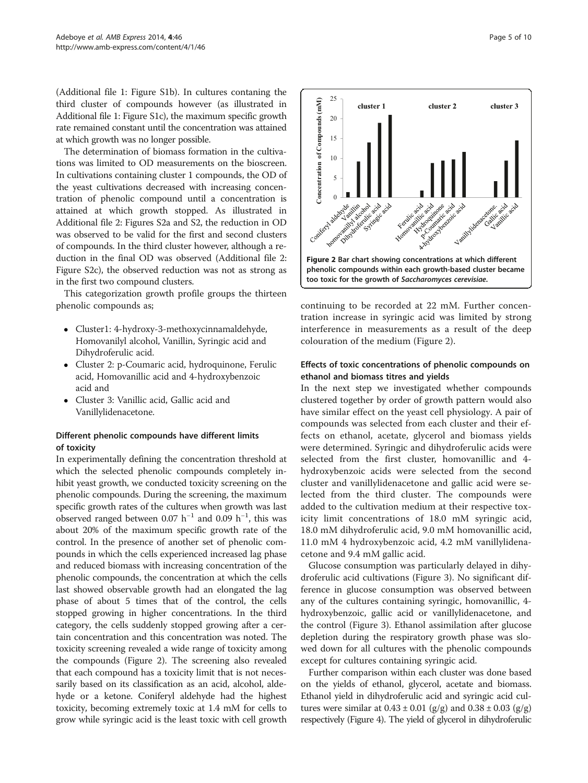(Additional file [1:](#page-8-0) Figure S1b). In cultures contaning the third cluster of compounds however (as illustrated in Additional file [1:](#page-8-0) Figure S1c), the maximum specific growth rate remained constant until the concentration was attained at which growth was no longer possible.

The determination of biomass formation in the cultivations was limited to OD measurements on the bioscreen. In cultivations containing cluster 1 compounds, the OD of the yeast cultivations decreased with increasing concentration of phenolic compound until a concentration is attained at which growth stopped. As illustrated in Additional file [2:](#page-8-0) Figures S2a and S2, the reduction in OD was observed to be valid for the first and second clusters of compounds. In the third cluster however, although a reduction in the final OD was observed (Additional file [2](#page-8-0): Figure S2c), the observed reduction was not as strong as in the first two compound clusters.

This categorization growth profile groups the thirteen phenolic compounds as;

- Cluster1: 4-hydroxy-3-methoxycinnamaldehyde, Homovanilyl alcohol, Vanillin, Syringic acid and Dihydroferulic acid.
- Cluster 2: p-Coumaric acid, hydroquinone, Ferulic acid, Homovanillic acid and 4-hydroxybenzoic acid and
- Cluster 3: Vanillic acid, Gallic acid and Vanillylidenacetone.

## Different phenolic compounds have different limits of toxicity

In experimentally defining the concentration threshold at which the selected phenolic compounds completely inhibit yeast growth, we conducted toxicity screening on the phenolic compounds. During the screening, the maximum specific growth rates of the cultures when growth was last observed ranged between 0.07  $h^{-1}$  and 0.09  $h^{-1}$ , this was about 20% of the maximum specific growth rate of the control. In the presence of another set of phenolic compounds in which the cells experienced increased lag phase and reduced biomass with increasing concentration of the phenolic compounds, the concentration at which the cells last showed observable growth had an elongated the lag phase of about 5 times that of the control, the cells stopped growing in higher concentrations. In the third category, the cells suddenly stopped growing after a certain concentration and this concentration was noted. The toxicity screening revealed a wide range of toxicity among the compounds (Figure 2). The screening also revealed that each compound has a toxicity limit that is not necessarily based on its classification as an acid, alcohol, aldehyde or a ketone. Coniferyl aldehyde had the highest toxicity, becoming extremely toxic at 1.4 mM for cells to grow while syringic acid is the least toxic with cell growth



continuing to be recorded at 22 mM. Further concentration increase in syringic acid was limited by strong interference in measurements as a result of the deep colouration of the medium (Figure 2).

## Effects of toxic concentrations of phenolic compounds on ethanol and biomass titres and yields

In the next step we investigated whether compounds clustered together by order of growth pattern would also have similar effect on the yeast cell physiology. A pair of compounds was selected from each cluster and their effects on ethanol, acetate, glycerol and biomass yields were determined. Syringic and dihydroferulic acids were selected from the first cluster, homovanillic and 4 hydroxybenzoic acids were selected from the second cluster and vanillylidenacetone and gallic acid were selected from the third cluster. The compounds were added to the cultivation medium at their respective toxicity limit concentrations of 18.0 mM syringic acid, 18.0 mM dihydroferulic acid, 9.0 mM homovanillic acid, 11.0 mM 4 hydroxybenzoic acid, 4.2 mM vanillylidenacetone and 9.4 mM gallic acid.

Glucose consumption was particularly delayed in dihydroferulic acid cultivations (Figure [3\)](#page-5-0). No significant difference in glucose consumption was observed between any of the cultures containing syringic, homovanillic, 4 hydroxybenzoic, gallic acid or vanillylidenacetone, and the control (Figure [3](#page-5-0)). Ethanol assimilation after glucose depletion during the respiratory growth phase was slowed down for all cultures with the phenolic compounds except for cultures containing syringic acid.

Further comparison within each cluster was done based on the yields of ethanol, glycerol, acetate and biomass. Ethanol yield in dihydroferulic acid and syringic acid cultures were similar at  $0.43 \pm 0.01$  (g/g) and  $0.38 \pm 0.03$  (g/g) respectively (Figure [4](#page-6-0)). The yield of glycerol in dihydroferulic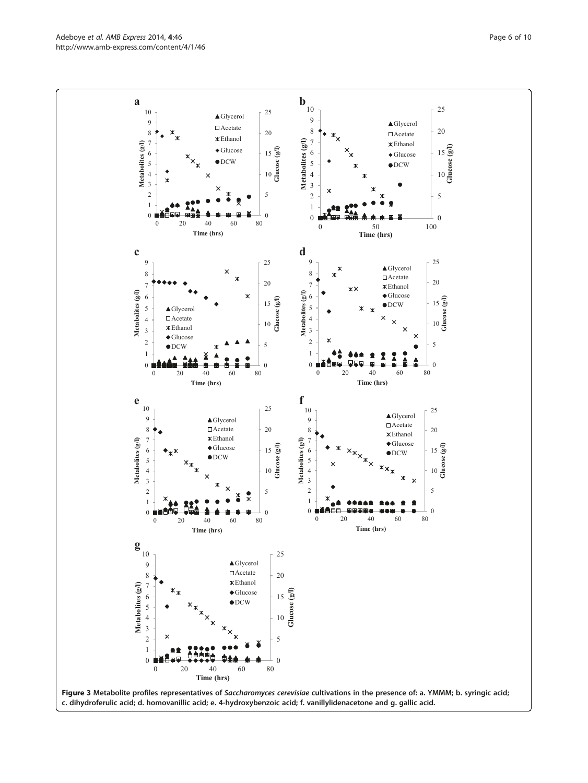<span id="page-5-0"></span>Adeboye et al. AMB Express 2014, 4:46 Page 6 of 10 http://www.amb-express.com/content/4/1/46

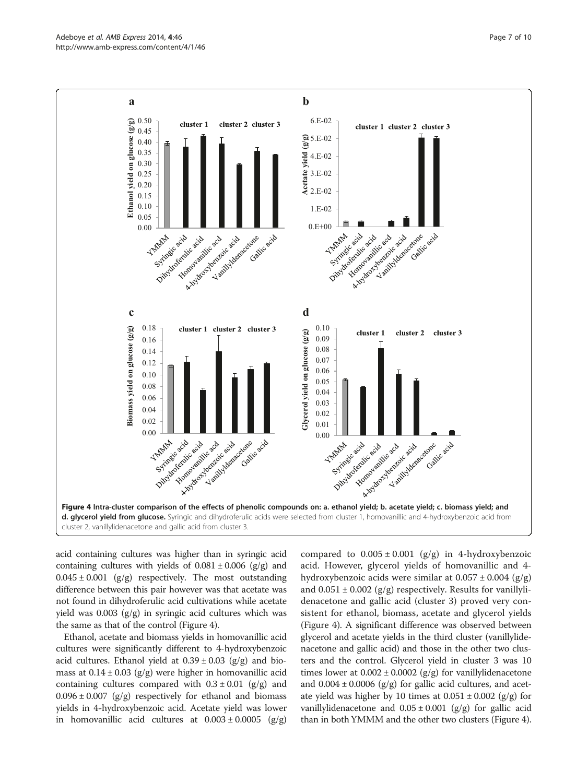<span id="page-6-0"></span>

acid containing cultures was higher than in syringic acid containing cultures with yields of  $0.081 \pm 0.006$  (g/g) and  $0.045 \pm 0.001$  (g/g) respectively. The most outstanding difference between this pair however was that acetate was not found in dihydroferulic acid cultivations while acetate yield was 0.003 (g/g) in syringic acid cultures which was the same as that of the control (Figure 4).

Ethanol, acetate and biomass yields in homovanillic acid cultures were significantly different to 4-hydroxybenzoic acid cultures. Ethanol yield at  $0.39 \pm 0.03$  (g/g) and biomass at  $0.14 \pm 0.03$  (g/g) were higher in homovanillic acid containing cultures compared with  $0.3 \pm 0.01$  (g/g) and  $0.096 \pm 0.007$  (g/g) respectively for ethanol and biomass yields in 4-hydroxybenzoic acid. Acetate yield was lower in homovanillic acid cultures at  $0.003 \pm 0.0005$  (g/g)

compared to  $0.005 \pm 0.001$  (g/g) in 4-hydroxybenzoic acid. However, glycerol yields of homovanillic and 4 hydroxybenzoic acids were similar at  $0.057 \pm 0.004$  (g/g) and  $0.051 \pm 0.002$  (g/g) respectively. Results for vanillylidenacetone and gallic acid (cluster 3) proved very consistent for ethanol, biomass, acetate and glycerol yields (Figure 4). A significant difference was observed between glycerol and acetate yields in the third cluster (vanillylidenacetone and gallic acid) and those in the other two clusters and the control. Glycerol yield in cluster 3 was 10 times lower at  $0.002 \pm 0.0002$  (g/g) for vanillylidenacetone and  $0.004 \pm 0.0006$  (g/g) for gallic acid cultures, and acetate yield was higher by 10 times at  $0.051 \pm 0.002$  (g/g) for vanillylidenacetone and  $0.05 \pm 0.001$  (g/g) for gallic acid than in both YMMM and the other two clusters (Figure 4).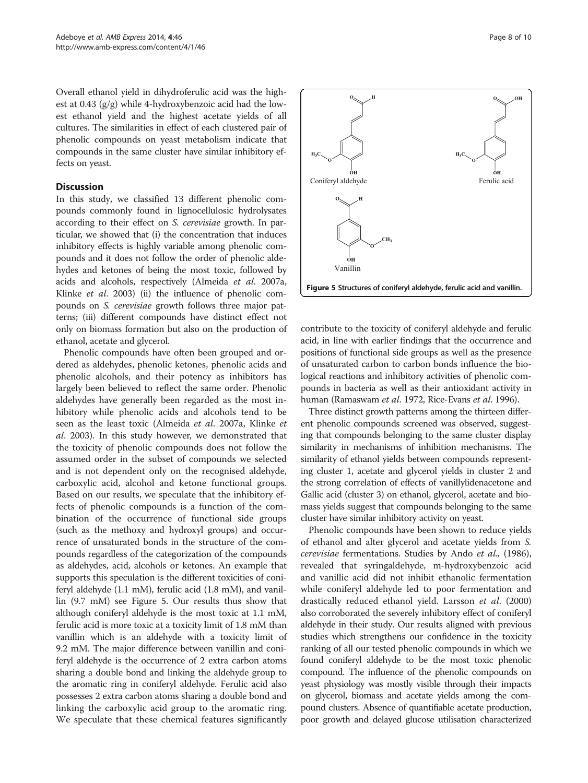Overall ethanol yield in dihydroferulic acid was the highest at 0.43 (g/g) while 4-hydroxybenzoic acid had the lowest ethanol yield and the highest acetate yields of all cultures. The similarities in effect of each clustered pair of phenolic compounds on yeast metabolism indicate that compounds in the same cluster have similar inhibitory effects on yeast.

#### **Discussion**

In this study, we classified 13 different phenolic compounds commonly found in lignocellulosic hydrolysates according to their effect on S. cerevisiae growth. In particular, we showed that (i) the concentration that induces inhibitory effects is highly variable among phenolic compounds and it does not follow the order of phenolic aldehydes and ketones of being the most toxic, followed by acids and alcohols, respectively (Almeida et al. [2007a](#page-8-0), Klinke et al. [2003\)](#page-9-0) (ii) the influence of phenolic compounds on S. cerevisiae growth follows three major patterns; (iii) different compounds have distinct effect not only on biomass formation but also on the production of ethanol, acetate and glycerol.

Phenolic compounds have often been grouped and ordered as aldehydes, phenolic ketones, phenolic acids and phenolic alcohols, and their potency as inhibitors has largely been believed to reflect the same order. Phenolic aldehydes have generally been regarded as the most inhibitory while phenolic acids and alcohols tend to be seen as the least toxic (Almeida et al. [2007a](#page-8-0), Klinke et al. [2003\)](#page-9-0). In this study however, we demonstrated that the toxicity of phenolic compounds does not follow the assumed order in the subset of compounds we selected and is not dependent only on the recognised aldehyde, carboxylic acid, alcohol and ketone functional groups. Based on our results, we speculate that the inhibitory effects of phenolic compounds is a function of the combination of the occurrence of functional side groups (such as the methoxy and hydroxyl groups) and occurrence of unsaturated bonds in the structure of the compounds regardless of the categorization of the compounds as aldehydes, acid, alcohols or ketones. An example that supports this speculation is the different toxicities of coniferyl aldehyde (1.1 mM), ferulic acid (1.8 mM), and vanillin (9.7 mM) see Figure 5. Our results thus show that although coniferyl aldehyde is the most toxic at 1.1 mM, ferulic acid is more toxic at a toxicity limit of 1.8 mM than vanillin which is an aldehyde with a toxicity limit of 9.2 mM. The major difference between vanillin and coniferyl aldehyde is the occurrence of 2 extra carbon atoms sharing a double bond and linking the aldehyde group to the aromatic ring in coniferyl aldehyde. Ferulic acid also possesses 2 extra carbon atoms sharing a double bond and linking the carboxylic acid group to the aromatic ring. We speculate that these chemical features significantly



contribute to the toxicity of coniferyl aldehyde and ferulic acid, in line with earlier findings that the occurrence and positions of functional side groups as well as the presence of unsaturated carbon to carbon bonds influence the biological reactions and inhibitory activities of phenolic compounds in bacteria as well as their antioxidant activity in human (Ramaswam et al. [1972,](#page-9-0) Rice-Evans et al. [1996](#page-9-0)).

Three distinct growth patterns among the thirteen different phenolic compounds screened was observed, suggesting that compounds belonging to the same cluster display similarity in mechanisms of inhibition mechanisms. The similarity of ethanol yields between compounds representing cluster 1, acetate and glycerol yields in cluster 2 and the strong correlation of effects of vanillylidenacetone and Gallic acid (cluster 3) on ethanol, glycerol, acetate and biomass yields suggest that compounds belonging to the same cluster have similar inhibitory activity on yeast.

Phenolic compounds have been shown to reduce yields of ethanol and alter glycerol and acetate yields from S. cerevisiae fermentations. Studies by Ando et al., ([1986](#page-8-0)), revealed that syringaldehyde, m-hydroxybenzoic acid and vanillic acid did not inhibit ethanolic fermentation while coniferyl aldehyde led to poor fermentation and drastically reduced ethanol yield. Larsson et al. ([2000](#page-9-0)) also corroborated the severely inhibitory effect of coniferyl aldehyde in their study. Our results aligned with previous studies which strengthens our confidence in the toxicity ranking of all our tested phenolic compounds in which we found coniferyl aldehyde to be the most toxic phenolic compound. The influence of the phenolic compounds on yeast physiology was mostly visible through their impacts on glycerol, biomass and acetate yields among the compound clusters. Absence of quantifiable acetate production, poor growth and delayed glucose utilisation characterized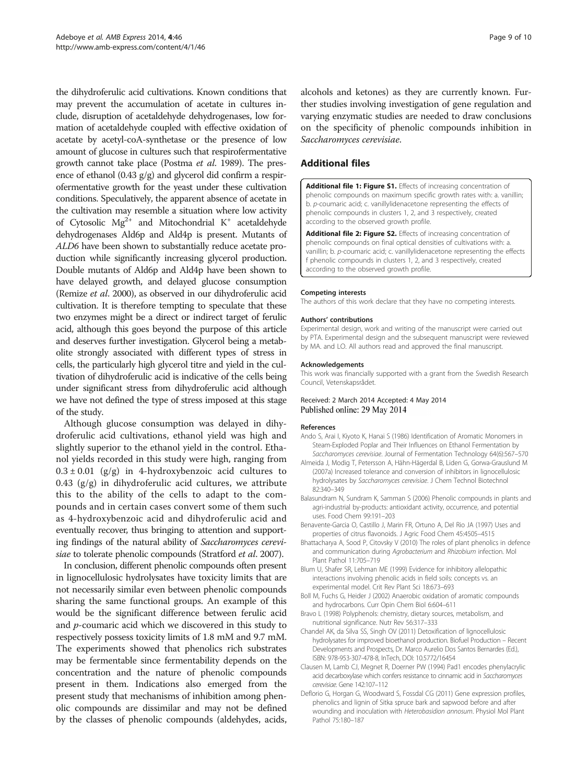<span id="page-8-0"></span>the dihydroferulic acid cultivations. Known conditions that may prevent the accumulation of acetate in cultures include, disruption of acetaldehyde dehydrogenases, low formation of acetaldehyde coupled with effective oxidation of acetate by acetyl-coA-synthetase or the presence of low amount of glucose in cultures such that respirofermentative growth cannot take place (Postma et al. [1989](#page-9-0)). The presence of ethanol (0.43 g/g) and glycerol did confirm a respirofermentative growth for the yeast under these cultivation conditions. Speculatively, the apparent absence of acetate in the cultivation may resemble a situation where low activity of Cytosolic  $Mg^{2+}$  and Mitochondrial K<sup>+</sup> acetaldehyde dehydrogenases Ald6p and Ald4p is present. Mutants of ALD6 have been shown to substantially reduce acetate production while significantly increasing glycerol production. Double mutants of Ald6p and Ald4p have been shown to have delayed growth, and delayed glucose consumption (Remize et al. [2000\)](#page-9-0), as observed in our dihydroferulic acid cultivation. It is therefore tempting to speculate that these two enzymes might be a direct or indirect target of ferulic acid, although this goes beyond the purpose of this article and deserves further investigation. Glycerol being a metabolite strongly associated with different types of stress in cells, the particularly high glycerol titre and yield in the cultivation of dihydroferulic acid is indicative of the cells being under significant stress from dihydroferulic acid although we have not defined the type of stress imposed at this stage of the study.

Although glucose consumption was delayed in dihydroferulic acid cultivations, ethanol yield was high and slightly superior to the ethanol yield in the control. Ethanol yields recorded in this study were high, ranging from  $0.3 \pm 0.01$  (g/g) in 4-hydroxybenzoic acid cultures to 0.43  $(g/g)$  in dihydroferulic acid cultures, we attribute this to the ability of the cells to adapt to the compounds and in certain cases convert some of them such as 4-hydroxybenzoic acid and dihydroferulic acid and eventually recover, thus bringing to attention and supporting findings of the natural ability of Saccharomyces cerevi-siae to tolerate phenolic compounds (Stratford et al. [2007](#page-9-0)).

In conclusion, different phenolic compounds often present in lignocellulosic hydrolysates have toxicity limits that are not necessarily similar even between phenolic compounds sharing the same functional groups. An example of this would be the significant difference between ferulic acid and  $p$ -coumaric acid which we discovered in this study to respectively possess toxicity limits of 1.8 mM and 9.7 mM. The experiments showed that phenolics rich substrates may be fermentable since fermentability depends on the concentration and the nature of phenolic compounds present in them. Indications also emerged from the present study that mechanisms of inhibition among phenolic compounds are dissimilar and may not be defined by the classes of phenolic compounds (aldehydes, acids, alcohols and ketones) as they are currently known. Further studies involving investigation of gene regulation and varying enzymatic studies are needed to draw conclusions on the specificity of phenolic compounds inhibition in Saccharomyces cerevisiae.

## Additional files

[Additional file 1: Figure S1.](http://www.biomedcentral.com/content/supplementary/13568_2014_46_MOESM1_ESM.docx) Effects of increasing concentration of phenolic compounds on maximum specific growth rates with: a. vanillin; b. p-coumaric acid; c. vanillylidenacetone representing the effects of phenolic compounds in clusters 1, 2, and 3 respectively, created according to the observed growth profile.

[Additional file 2: Figure S2.](http://www.biomedcentral.com/content/supplementary/13568_2014_46_MOESM2_ESM.docx) Effects of increasing concentration of phenolic compounds on final optical densities of cultivations with: a. vanillin; b. p-coumaric acid; c. vanillylidenacetone representing the effects f phenolic compounds in clusters 1, 2, and 3 respectively, created according to the observed growth profile.

#### Competing interests

The authors of this work declare that they have no competing interests.

#### Authors' contributions

Experimental design, work and writing of the manuscript were carried out by PTA. Experimental design and the subsequent manuscript were reviewed by MA. and LO. All authors read and approved the final manuscript.

#### Acknowledgements

This work was financially supported with a grant from the Swedish Research Council, Vetenskapsrådet.

#### Received: 2 March 2014 Accepted: 4 May 2014 Published online: 29 May 2014

#### References

- Ando S, Arai I, Kiyoto K, Hanai S (1986) Identification of Aromatic Monomers in Steam-Exploded Poplar and Their Influences on Ethanol Fermentation by Saccharomyces cerevisiae. Journal of Fermentation Technology 64(6):567–570
- Almeida J, Modig T, Petersson A, Hähn-Hägerdal B, Liden G, Gorwa-Grauslund M (2007a) Increased tolerance and conversion of inhibitors in lignocellulosic hydrolysates by Saccharomyces cerevisiae. J Chem Technol Biotechnol 82:340–349
- Balasundram N, Sundram K, Samman S (2006) Phenolic compounds in plants and agri-industrial by-products: antioxidant activity, occurrence, and potential uses. Food Chem 99:191–203
- Benavente-Garcia O, Castillo J, Marin FR, Ortuno A, Del Rio JA (1997) Uses and properties of citrus flavonoids. J Agric Food Chem 45:4505–4515
- Bhattacharya A, Sood P, Citovsky V (2010) The roles of plant phenolics in defence and communication during Agrobacterium and Rhizobium infection. Mol Plant Pathol 11:705–719
- Blum U, Shafer SR, Lehman ME (1999) Evidence for inhibitory allelopathic interactions involving phenolic acids in field soils: concepts vs. an experimental model. Crit Rev Plant Sci 18:673–693
- Boll M, Fuchs G, Heider J (2002) Anaerobic oxidation of aromatic compounds and hydrocarbons. Curr Opin Chem Biol 6:604–611
- Bravo L (1998) Polyphenols: chemistry, dietary sources, metabolism, and nutritional significance. Nutr Rev 56:317–333
- Chandel AK, da Silva SS, Singh OV (2011) Detoxification of lignocellulosic hydrolysates for improved bioethanol production. Biofuel Production – Recent Developments and Prospects, Dr. Marco Aurelio Dos Santos Bernardes (Ed.), ISBN: 978-953-307-478-8, InTech, DOI: 10.5772/16454
- Clausen M, Lamb CJ, Megnet R, Doerner PW (1994) Pad1 encodes phenylacrylic acid decarboxylase which confers resistance to cinnamic acid in Saccharomyces cerevisiae. Gene 142:107–112
- Deflorio G, Horgan G, Woodward S, Fossdal CG (2011) Gene expression profiles, phenolics and lignin of Sitka spruce bark and sapwood before and after wounding and inoculation with Heterobasidion annosum. Physiol Mol Plant Pathol 75:180–187